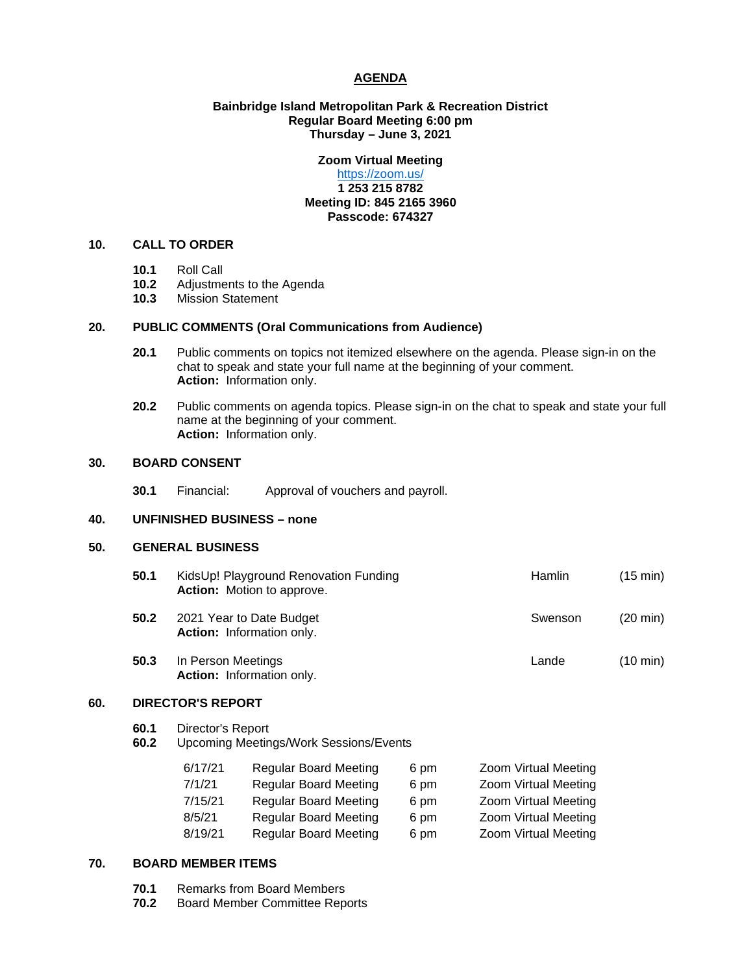### **AGENDA**

#### **Bainbridge Island Metropolitan Park & Recreation District Regular Board Meeting 6:00 pm Thursday – June 3, 2021**

# **Zoom Virtual Meeting**

### <https://zoom.us/> **1 253 215 8782 Meeting ID: 845 2165 3960 Passcode: 674327**

# **10. CALL TO ORDER**

- **10.1** Roll Call
- 10.2 Adjustments to the Agenda<br>10.3 Mission Statement
- **10.3** Mission Statement

#### **20. PUBLIC COMMENTS (Oral Communications from Audience)**

- **20.1** Public comments on topics not itemized elsewhere on the agenda. Please sign-in on the chat to speak and state your full name at the beginning of your comment. **Action:** Information only.
- **20.2** Public comments on agenda topics. Please sign-in on the chat to speak and state your full name at the beginning of your comment. **Action:** Information only.

# **30. BOARD CONSENT**

**30.1** Financial: Approval of vouchers and payroll.

#### **40. UNFINISHED BUSINESS – none**

# **50. GENERAL BUSINESS**

| 50.1 | KidsUp! Playground Renovation Funding<br>Action: Motion to approve. | <b>Hamlin</b> | (15 min)           |
|------|---------------------------------------------------------------------|---------------|--------------------|
| 50.2 | 2021 Year to Date Budget<br>Action: Information only.               | Swenson       | $(20 \text{ min})$ |
| 50.3 | In Person Meetings<br>Action: Information only.                     | Lande         | $(10 \text{ min})$ |

### **60. DIRECTOR'S REPORT**

- **60.1** Director's Report
- **60.2** Upcoming Meetings/Work Sessions/Events

| 6/17/21 | <b>Regular Board Meeting</b> | 6 pm | Zoom Virtual Meeting |
|---------|------------------------------|------|----------------------|
| 7/1/21  | <b>Regular Board Meeting</b> | 6 pm | Zoom Virtual Meeting |
| 7/15/21 | <b>Regular Board Meeting</b> | 6 pm | Zoom Virtual Meeting |
| 8/5/21  | <b>Regular Board Meeting</b> | 6 pm | Zoom Virtual Meeting |
| 8/19/21 | <b>Regular Board Meeting</b> | 6 pm | Zoom Virtual Meeting |

#### **70. BOARD MEMBER ITEMS**

- **70.1** Remarks from Board Members<br>**70.2** Board Member Committee Rep
- **70.2** Board Member Committee Reports